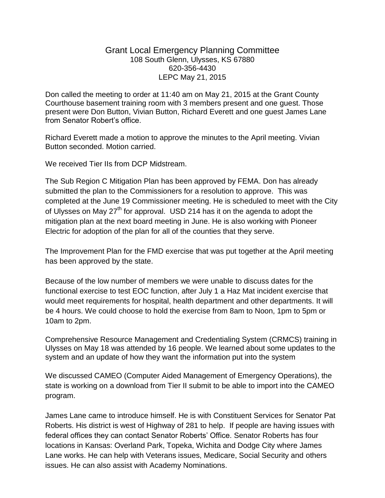## Grant Local Emergency Planning Committee 108 South Glenn, Ulysses, KS 67880 620-356-4430 LEPC May 21, 2015

Don called the meeting to order at 11:40 am on May 21, 2015 at the Grant County Courthouse basement training room with 3 members present and one guest. Those present were Don Button, Vivian Button, Richard Everett and one guest James Lane from Senator Robert's office.

Richard Everett made a motion to approve the minutes to the April meeting. Vivian Button seconded. Motion carried.

We received Tier IIs from DCP Midstream.

The Sub Region C Mitigation Plan has been approved by FEMA. Don has already submitted the plan to the Commissioners for a resolution to approve. This was completed at the June 19 Commissioner meeting. He is scheduled to meet with the City of Ulysses on May 27<sup>th</sup> for approval. USD 214 has it on the agenda to adopt the mitigation plan at the next board meeting in June. He is also working with Pioneer Electric for adoption of the plan for all of the counties that they serve.

The Improvement Plan for the FMD exercise that was put together at the April meeting has been approved by the state.

Because of the low number of members we were unable to discuss dates for the functional exercise to test EOC function, after July 1 a Haz Mat incident exercise that would meet requirements for hospital, health department and other departments. It will be 4 hours. We could choose to hold the exercise from 8am to Noon, 1pm to 5pm or 10am to 2pm.

Comprehensive Resource Management and Credentialing System (CRMCS) training in Ulysses on May 18 was attended by 16 people. We learned about some updates to the system and an update of how they want the information put into the system

We discussed CAMEO (Computer Aided Management of Emergency Operations), the state is working on a download from Tier II submit to be able to import into the CAMEO program.

James Lane came to introduce himself. He is with Constituent Services for Senator Pat Roberts. His district is west of Highway of 281 to help. If people are having issues with federal offices they can contact Senator Roberts' Office. Senator Roberts has four locations in Kansas: Overland Park, Topeka, Wichita and Dodge City where James Lane works. He can help with Veterans issues, Medicare, Social Security and others issues. He can also assist with Academy Nominations.